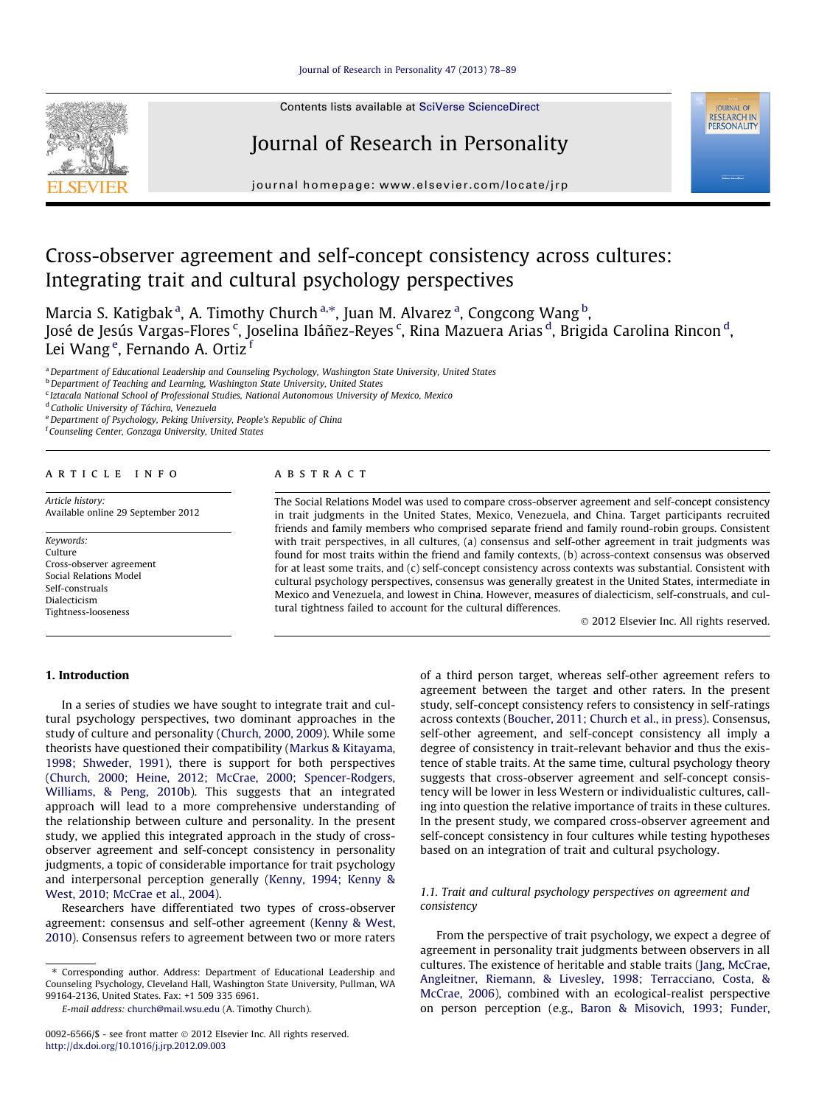

Contents lists available at [SciVerse ScienceDirect](http://www.sciencedirect.com/science/journal/00926566)

# Journal of Research in Personality



journal homepage: [www.elsevier.com/locate/jrp](http://www.elsevier.com/locate/jrp)

# Cross-observer agreement and self-concept consistency across cultures: Integrating trait and cultural psychology perspectives

Marcia S. Katigbak <sup>a</sup>, A. Timothy Church <sup>a,</sup>\*, Juan M. Alvarez <sup>a</sup>, Congcong Wang <sup>b</sup>, José de Jesús Vargas-Flores <sup>c</sup>, Joselina Ibáñez-Reyes <sup>c</sup>, Rina Mazuera Arias <sup>d</sup>, Brigida Carolina Rincon <sup>d</sup>, Lei Wang <sup>e</sup>, Fernando A. Ortiz <sup>f</sup>

a Department of Educational Leadership and Counseling Psychology, Washington State University, United States

**b** Department of Teaching and Learning, Washington State University, United States

<sup>c</sup> Iztacala National School of Professional Studies, National Autonomous University of Mexico, Mexico

<sup>d</sup> Catholic University of Táchira, Venezuela

<sup>e</sup> Department of Psychology, Peking University, People's Republic of China

f Counseling Center, Gonzaga University, United States

#### article info

Article history: Available online 29 September 2012

Keywords: Culture Cross-observer agreement Social Relations Model Self-construals Dialecticism Tightness-looseness

1. Introduction

## **ABSTRACT**

The Social Relations Model was used to compare cross-observer agreement and self-concept consistency in trait judgments in the United States, Mexico, Venezuela, and China. Target participants recruited friends and family members who comprised separate friend and family round-robin groups. Consistent with trait perspectives, in all cultures, (a) consensus and self-other agreement in trait judgments was found for most traits within the friend and family contexts, (b) across-context consensus was observed for at least some traits, and (c) self-concept consistency across contexts was substantial. Consistent with cultural psychology perspectives, consensus was generally greatest in the United States, intermediate in Mexico and Venezuela, and lowest in China. However, measures of dialecticism, self-construals, and cultural tightness failed to account for the cultural differences.

- 2012 Elsevier Inc. All rights reserved.

# In a series of studies we have sought to integrate trait and cultural psychology perspectives, two dominant approaches in the study of culture and personality ([Church, 2000, 2009\)](#page--1-0). While some theorists have questioned their compatibility ([Markus & Kitayama,](#page--1-0) [1998; Shweder, 1991](#page--1-0)), there is support for both perspectives ([Church, 2000; Heine, 2012; McCrae, 2000; Spencer-Rodgers,](#page--1-0) [Williams, & Peng, 2010b\)](#page--1-0). This suggests that an integrated approach will lead to a more comprehensive understanding of the relationship between culture and personality. In the present study, we applied this integrated approach in the study of crossobserver agreement and self-concept consistency in personality judgments, a topic of considerable importance for trait psychology and interpersonal perception generally [\(Kenny, 1994; Kenny &](#page--1-0) [West, 2010; McCrae et al., 2004](#page--1-0)).

Researchers have differentiated two types of cross-observer agreement: consensus and self-other agreement ([Kenny & West,](#page--1-0) [2010\)](#page--1-0). Consensus refers to agreement between two or more raters

⇑ Corresponding author. Address: Department of Educational Leadership and Counseling Psychology, Cleveland Hall, Washington State University, Pullman, WA 99164-2136, United States. Fax: +1 509 335 6961.

E-mail address: [church@mail.wsu.edu](mailto:church@mail.wsu.edu) (A. Timothy Church).

of a third person target, whereas self-other agreement refers to agreement between the target and other raters. In the present study, self-concept consistency refers to consistency in self-ratings across contexts ([Boucher, 2011; Church et al., in press](#page--1-0)). Consensus, self-other agreement, and self-concept consistency all imply a degree of consistency in trait-relevant behavior and thus the existence of stable traits. At the same time, cultural psychology theory suggests that cross-observer agreement and self-concept consistency will be lower in less Western or individualistic cultures, calling into question the relative importance of traits in these cultures. In the present study, we compared cross-observer agreement and self-concept consistency in four cultures while testing hypotheses based on an integration of trait and cultural psychology.

# 1.1. Trait and cultural psychology perspectives on agreement and consistency

From the perspective of trait psychology, we expect a degree of agreement in personality trait judgments between observers in all cultures. The existence of heritable and stable traits [\(Jang, McCrae,](#page--1-0) [Angleitner, Riemann, & Livesley, 1998; Terracciano, Costa, &](#page--1-0) [McCrae, 2006](#page--1-0)), combined with an ecological-realist perspective on person perception (e.g., [Baron & Misovich, 1993; Funder,](#page--1-0)

<sup>0092-6566/\$ -</sup> see front matter © 2012 Elsevier Inc. All rights reserved. <http://dx.doi.org/10.1016/j.jrp.2012.09.003>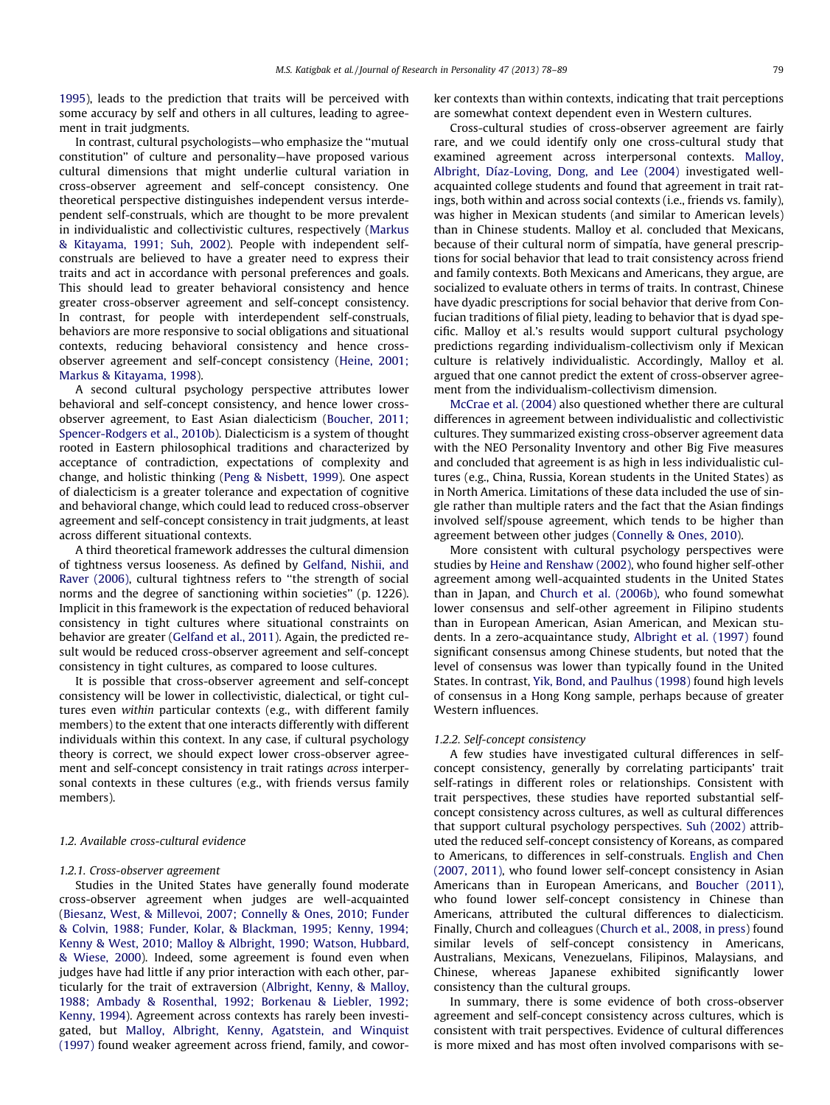[1995\)](#page--1-0), leads to the prediction that traits will be perceived with some accuracy by self and others in all cultures, leading to agreement in trait judgments.

In contrast, cultural psychologists—who emphasize the ''mutual constitution'' of culture and personality—have proposed various cultural dimensions that might underlie cultural variation in cross-observer agreement and self-concept consistency. One theoretical perspective distinguishes independent versus interdependent self-construals, which are thought to be more prevalent in individualistic and collectivistic cultures, respectively [\(Markus](#page--1-0) [& Kitayama, 1991; Suh, 2002](#page--1-0)). People with independent selfconstruals are believed to have a greater need to express their traits and act in accordance with personal preferences and goals. This should lead to greater behavioral consistency and hence greater cross-observer agreement and self-concept consistency. In contrast, for people with interdependent self-construals, behaviors are more responsive to social obligations and situational contexts, reducing behavioral consistency and hence crossobserver agreement and self-concept consistency ([Heine, 2001;](#page--1-0) [Markus & Kitayama, 1998](#page--1-0)).

A second cultural psychology perspective attributes lower behavioral and self-concept consistency, and hence lower crossobserver agreement, to East Asian dialecticism ([Boucher, 2011;](#page--1-0) [Spencer-Rodgers et al., 2010b](#page--1-0)). Dialecticism is a system of thought rooted in Eastern philosophical traditions and characterized by acceptance of contradiction, expectations of complexity and change, and holistic thinking ([Peng & Nisbett, 1999\)](#page--1-0). One aspect of dialecticism is a greater tolerance and expectation of cognitive and behavioral change, which could lead to reduced cross-observer agreement and self-concept consistency in trait judgments, at least across different situational contexts.

A third theoretical framework addresses the cultural dimension of tightness versus looseness. As defined by [Gelfand, Nishii, and](#page--1-0) [Raver \(2006\)](#page--1-0), cultural tightness refers to ''the strength of social norms and the degree of sanctioning within societies'' (p. 1226). Implicit in this framework is the expectation of reduced behavioral consistency in tight cultures where situational constraints on behavior are greater [\(Gelfand et al., 2011](#page--1-0)). Again, the predicted result would be reduced cross-observer agreement and self-concept consistency in tight cultures, as compared to loose cultures.

It is possible that cross-observer agreement and self-concept consistency will be lower in collectivistic, dialectical, or tight cultures even within particular contexts (e.g., with different family members) to the extent that one interacts differently with different individuals within this context. In any case, if cultural psychology theory is correct, we should expect lower cross-observer agreement and self-concept consistency in trait ratings across interpersonal contexts in these cultures (e.g., with friends versus family members).

## 1.2. Available cross-cultural evidence

## 1.2.1. Cross-observer agreement

Studies in the United States have generally found moderate cross-observer agreement when judges are well-acquainted ([Biesanz, West, & Millevoi, 2007; Connelly & Ones, 2010; Funder](#page--1-0) [& Colvin, 1988; Funder, Kolar, & Blackman, 1995; Kenny, 1994;](#page--1-0) [Kenny & West, 2010; Malloy & Albright, 1990; Watson, Hubbard,](#page--1-0) [& Wiese, 2000](#page--1-0)). Indeed, some agreement is found even when judges have had little if any prior interaction with each other, particularly for the trait of extraversion [\(Albright, Kenny, & Malloy,](#page--1-0) [1988; Ambady & Rosenthal, 1992; Borkenau & Liebler, 1992;](#page--1-0) [Kenny, 1994](#page--1-0)). Agreement across contexts has rarely been investigated, but [Malloy, Albright, Kenny, Agatstein, and Winquist](#page--1-0) [\(1997\)](#page--1-0) found weaker agreement across friend, family, and coworker contexts than within contexts, indicating that trait perceptions are somewhat context dependent even in Western cultures.

Cross-cultural studies of cross-observer agreement are fairly rare, and we could identify only one cross-cultural study that examined agreement across interpersonal contexts. [Malloy,](#page--1-0) [Albright, Díaz-Loving, Dong, and Lee \(2004\)](#page--1-0) investigated wellacquainted college students and found that agreement in trait ratings, both within and across social contexts (i.e., friends vs. family), was higher in Mexican students (and similar to American levels) than in Chinese students. Malloy et al. concluded that Mexicans, because of their cultural norm of simpatía, have general prescriptions for social behavior that lead to trait consistency across friend and family contexts. Both Mexicans and Americans, they argue, are socialized to evaluate others in terms of traits. In contrast, Chinese have dyadic prescriptions for social behavior that derive from Confucian traditions of filial piety, leading to behavior that is dyad specific. Malloy et al.'s results would support cultural psychology predictions regarding individualism-collectivism only if Mexican culture is relatively individualistic. Accordingly, Malloy et al. argued that one cannot predict the extent of cross-observer agreement from the individualism-collectivism dimension.

[McCrae et al. \(2004\)](#page--1-0) also questioned whether there are cultural differences in agreement between individualistic and collectivistic cultures. They summarized existing cross-observer agreement data with the NEO Personality Inventory and other Big Five measures and concluded that agreement is as high in less individualistic cultures (e.g., China, Russia, Korean students in the United States) as in North America. Limitations of these data included the use of single rather than multiple raters and the fact that the Asian findings involved self/spouse agreement, which tends to be higher than agreement between other judges ([Connelly & Ones, 2010](#page--1-0)).

More consistent with cultural psychology perspectives were studies by [Heine and Renshaw \(2002\),](#page--1-0) who found higher self-other agreement among well-acquainted students in the United States than in Japan, and [Church et al. \(2006b\),](#page--1-0) who found somewhat lower consensus and self-other agreement in Filipino students than in European American, Asian American, and Mexican students. In a zero-acquaintance study, [Albright et al. \(1997\)](#page--1-0) found significant consensus among Chinese students, but noted that the level of consensus was lower than typically found in the United States. In contrast, [Yik, Bond, and Paulhus \(1998\)](#page--1-0) found high levels of consensus in a Hong Kong sample, perhaps because of greater Western influences.

### 1.2.2. Self-concept consistency

A few studies have investigated cultural differences in selfconcept consistency, generally by correlating participants' trait self-ratings in different roles or relationships. Consistent with trait perspectives, these studies have reported substantial selfconcept consistency across cultures, as well as cultural differences that support cultural psychology perspectives. [Suh \(2002\)](#page--1-0) attributed the reduced self-concept consistency of Koreans, as compared to Americans, to differences in self-construals. [English and Chen](#page--1-0) [\(2007, 2011\)](#page--1-0), who found lower self-concept consistency in Asian Americans than in European Americans, and [Boucher \(2011\),](#page--1-0) who found lower self-concept consistency in Chinese than Americans, attributed the cultural differences to dialecticism. Finally, Church and colleagues [\(Church et al., 2008, in press](#page--1-0)) found similar levels of self-concept consistency in Americans, Australians, Mexicans, Venezuelans, Filipinos, Malaysians, and Chinese, whereas Japanese exhibited significantly lower consistency than the cultural groups.

In summary, there is some evidence of both cross-observer agreement and self-concept consistency across cultures, which is consistent with trait perspectives. Evidence of cultural differences is more mixed and has most often involved comparisons with se-